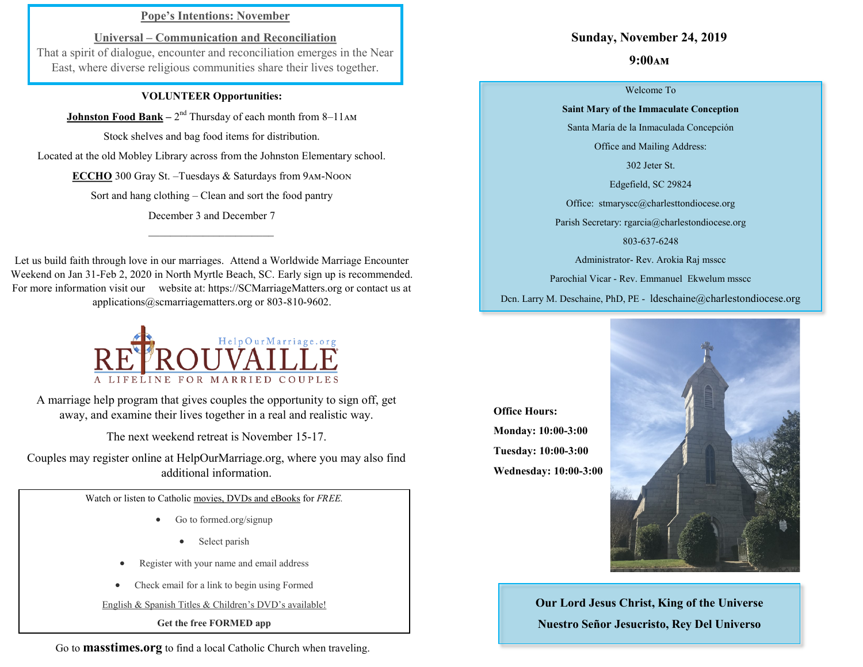# **Pope's Intentions: November**

**Universal – Communication and Reconciliation** That a spirit of dialogue, encounter and reconciliation emerges in the Near East, where diverse religious communities share their lives together.

### **VOLUNTEER Opportunities:**

**Johnston Food Bank** – 2<sup>nd</sup> Thursday of each month from 8–11AM

Stock shelves and bag food items for distribution.

Located at the old Mobley Library across from the Johnston Elementary school.

**ECCHO** 300 Gray St. –Tuesdays & Saturdays from 9am-Noon

Sort and hang clothing – Clean and sort the food pantry

December 3 and December 7  $\mathcal{L}=\{1,2,3,4,5\}$ 

Let us build faith through love in our marriages. Attend a Worldwide Marriage Encounter Weekend on Jan 31-Feb 2, 2020 in North Myrtle Beach, SC. Early sign up is recommended. For more information visit our website at: https://SCMarriageMatters.org or contact us at applications@scmarriagematters.org or 803-810-9602.



A marriage help program that gives couples the opportunity to sign off, get away, and examine their lives together in a real and realistic way.

The next weekend retreat is November 15-17.

Couples may register online at HelpOurMarriage.org, where you may also find additional information.

Watch or listen to Catholic movies, DVDs and eBooks for *FREE.*

- Go to formed.org/signup
	- Select parish
- Register with your name and email address
- Check email for a link to begin using Formed

English & Spanish Titles & Children's DVD's available!

**Get the free FORMED app**

Go to **masstimes.org** to find a local Catholic Church when traveling.

## **Sunday, November 24, 2019**

## **9:00am**

#### Welcome To

### **Saint Mary of the Immaculate Conception**

Santa María de la Inmaculada Concepción

Office and Mailing Address:

302 Jeter St.

Edgefield, SC 29824

Office: stmaryscc@charlesttondiocese.org

Parish Secretary: rgarcia@charlestondiocese.org

803-637-6248

Administrator- Rev. Arokia Raj msscc

Parochial Vicar - Rev. Emmanuel Ekwelum msscc

Dcn. Larry M. Deschaine, PhD, PE - ldeschaine@charlestondiocese.org

**Office Hours: Monday: 10:00-3:00 Tuesday: 10:00-3:00 Wednesday: 10:00-3:00**



**Our Lord Jesus Christ, King of the Universe Nuestro Señor Jesucristo, Rey Del Universo**